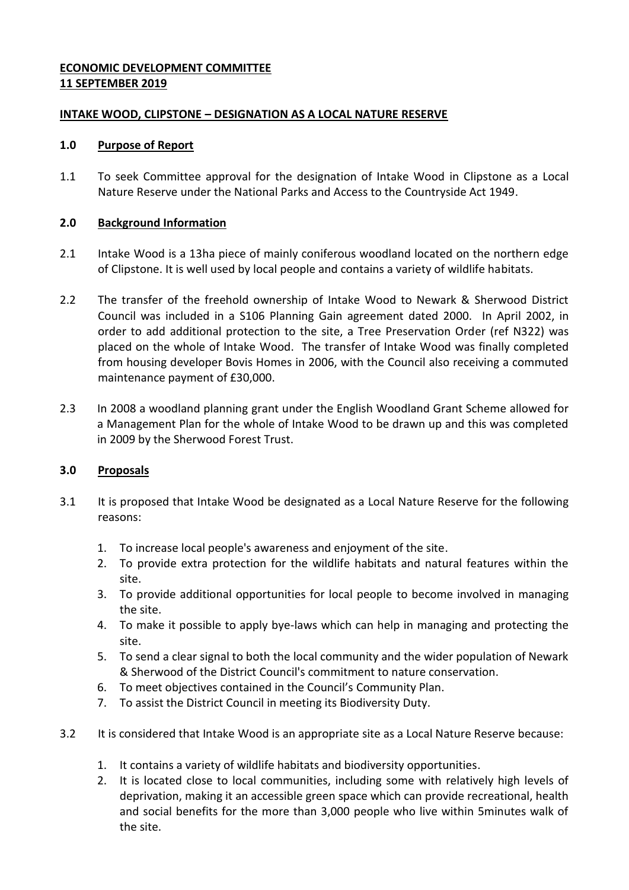## **ECONOMIC DEVELOPMENT COMMITTEE 11 SEPTEMBER 2019**

### **INTAKE WOOD, CLIPSTONE – DESIGNATION AS A LOCAL NATURE RESERVE**

#### **1.0 Purpose of Report**

1.1 To seek Committee approval for the designation of Intake Wood in Clipstone as a Local Nature Reserve under the National Parks and Access to the Countryside Act 1949.

## **2.0 Background Information**

- 2.1 Intake Wood is a 13ha piece of mainly coniferous woodland located on the northern edge of Clipstone. It is well used by local people and contains a variety of wildlife habitats.
- 2.2 The transfer of the freehold ownership of Intake Wood to Newark & Sherwood District Council was included in a S106 Planning Gain agreement dated 2000. In April 2002, in order to add additional protection to the site, a Tree Preservation Order (ref N322) was placed on the whole of Intake Wood. The transfer of Intake Wood was finally completed from housing developer Bovis Homes in 2006, with the Council also receiving a commuted maintenance payment of £30,000.
- 2.3 In 2008 a woodland planning grant under the English Woodland Grant Scheme allowed for a Management Plan for the whole of Intake Wood to be drawn up and this was completed in 2009 by the Sherwood Forest Trust.

# **3.0 Proposals**

- 3.1 It is proposed that Intake Wood be designated as a Local Nature Reserve for the following reasons:
	- 1. To increase local people's awareness and enjoyment of the site.
	- 2. To provide extra protection for the wildlife habitats and natural features within the site.
	- 3. To provide additional opportunities for local people to become involved in managing the site.
	- 4. To make it possible to apply bye-laws which can help in managing and protecting the site.
	- 5. To send a clear signal to both the local community and the wider population of Newark & Sherwood of the District Council's commitment to nature conservation.
	- 6. To meet objectives contained in the Council's Community Plan.
	- 7. To assist the District Council in meeting its Biodiversity Duty.
- 3.2 It is considered that Intake Wood is an appropriate site as a Local Nature Reserve because:
	- 1. It contains a variety of wildlife habitats and biodiversity opportunities.
	- 2. It is located close to local communities, including some with relatively high levels of deprivation, making it an accessible green space which can provide recreational, health and social benefits for the more than 3,000 people who live within 5minutes walk of the site.